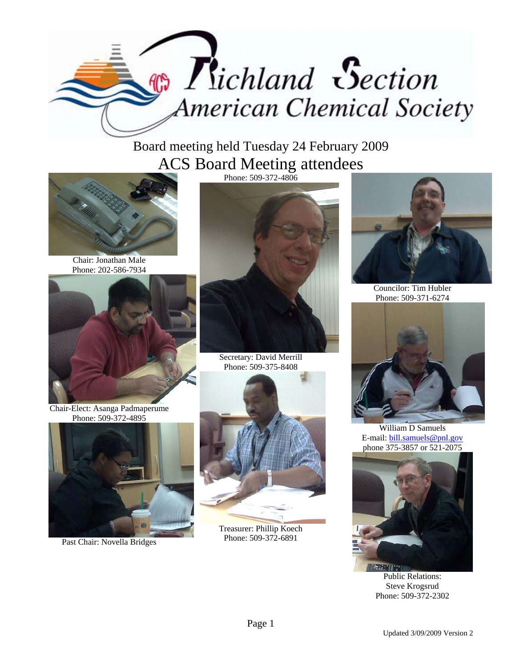

Board meeting held Tuesday 24 February 2009 ACS Board Meeting attendees



Chair: Jonathan Male Phone: 202-586-7934



Chair-Elect: Asanga Padmaperume Phone: 509-372-4895



Past Chair: Novella Bridges



Secretary: David Merrill Phone: 509-375-8408



Treasurer: Phillip Koech Phone: 509-372-6891



Councilor: Tim Hubler Phone: 509-371-6274



William D Samuels E-mail: bill.samuels@pnl.gov phone 375-3857 or 521-2075



Public Relations: Steve Krogsrud Phone: 509-372-2302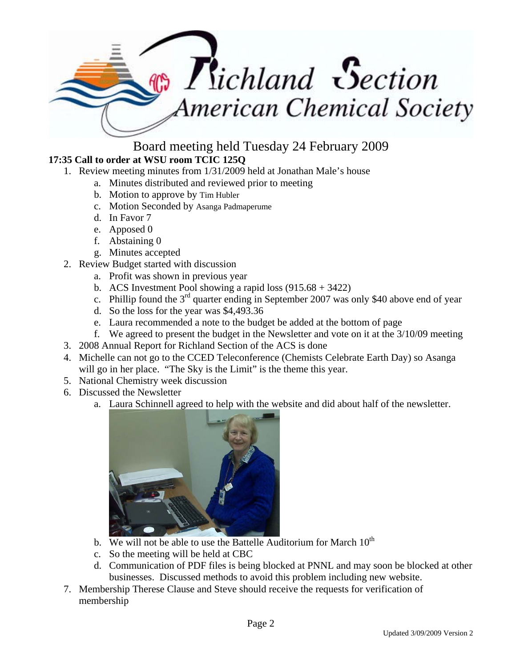

Board meeting held Tuesday 24 February 2009

## **17:35 Call to order at WSU room TCIC 125Q**

- 1. Review meeting minutes from 1/31/2009 held at Jonathan Male's house
	- a. Minutes distributed and reviewed prior to meeting
	- b. Motion to approve by Tim Hubler
	- c. Motion Seconded by Asanga Padmaperume
	- d. In Favor 7
	- e. Apposed 0
	- f. Abstaining 0
	- g. Minutes accepted
- 2. Review Budget started with discussion
	- a. Profit was shown in previous year
	- b. ACS Investment Pool showing a rapid loss (915.68 + 3422)
	- c. Phillip found the  $3<sup>rd</sup>$  quarter ending in September 2007 was only \$40 above end of year
	- d. So the loss for the year was \$4,493.36
	- e. Laura recommended a note to the budget be added at the bottom of page
	- f. We agreed to present the budget in the Newsletter and vote on it at the 3/10/09 meeting
- 3. 2008 Annual Report for Richland Section of the ACS is done
- 4. Michelle can not go to the CCED Teleconference (Chemists Celebrate Earth Day) so Asanga will go in her place. "The Sky is the Limit" is the theme this year.
- 5. National Chemistry week discussion
- 6. Discussed the Newsletter
	- a. Laura Schinnell agreed to help with the website and did about half of the newsletter.



- b. We will not be able to use the Battelle Auditorium for March  $10<sup>th</sup>$
- c. So the meeting will be held at CBC
- d. Communication of PDF files is being blocked at PNNL and may soon be blocked at other businesses. Discussed methods to avoid this problem including new website.
- 7. Membership Therese Clause and Steve should receive the requests for verification of membership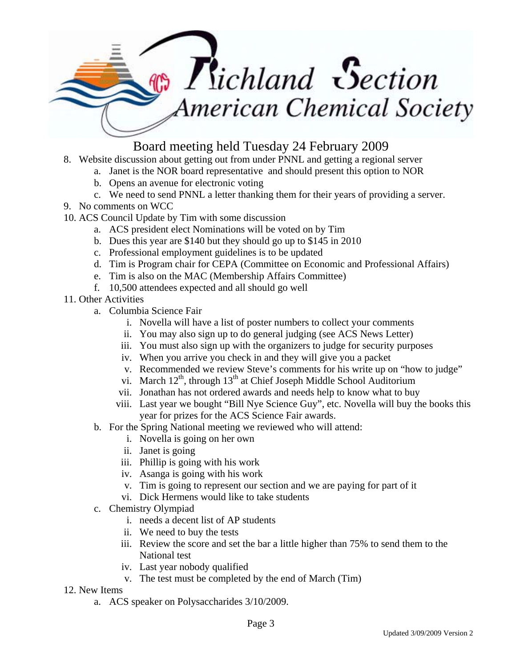

## Board meeting held Tuesday 24 February 2009

- 8. Website discussion about getting out from under PNNL and getting a regional server
	- a. Janet is the NOR board representative and should present this option to NOR
	- b. Opens an avenue for electronic voting
	- c. We need to send PNNL a letter thanking them for their years of providing a server.
- 9. No comments on WCC
- 10. ACS Council Update by Tim with some discussion
	- a. ACS president elect Nominations will be voted on by Tim
	- b. Dues this year are \$140 but they should go up to \$145 in 2010
	- c. Professional employment guidelines is to be updated
	- d. Tim is Program chair for CEPA (Committee on Economic and Professional Affairs)
	- e. Tim is also on the MAC (Membership Affairs Committee)
	- f. 10,500 attendees expected and all should go well
- 11. Other Activities
	- a. Columbia Science Fair
		- i. Novella will have a list of poster numbers to collect your comments
		- ii. You may also sign up to do general judging (see ACS News Letter)
		- iii. You must also sign up with the organizers to judge for security purposes
		- iv. When you arrive you check in and they will give you a packet
		- v. Recommended we review Steve's comments for his write up on "how to judge"
		- vi. March  $12<sup>th</sup>$ , through  $13<sup>th</sup>$  at Chief Joseph Middle School Auditorium
		- vii. Jonathan has not ordered awards and needs help to know what to buy
		- viii. Last year we bought "Bill Nye Science Guy", etc. Novella will buy the books this year for prizes for the ACS Science Fair awards.
	- b. For the Spring National meeting we reviewed who will attend:
		- i. Novella is going on her own
		- ii. Janet is going
		- iii. Phillip is going with his work
		- iv. Asanga is going with his work
		- v. Tim is going to represent our section and we are paying for part of it
		- vi. Dick Hermens would like to take students
	- c. Chemistry Olympiad
		- i. needs a decent list of AP students
		- ii. We need to buy the tests
		- iii. Review the score and set the bar a little higher than 75% to send them to the National test
		- iv. Last year nobody qualified
		- v. The test must be completed by the end of March (Tim)
- 12. New Items
	- a. ACS speaker on Polysaccharides 3/10/2009.